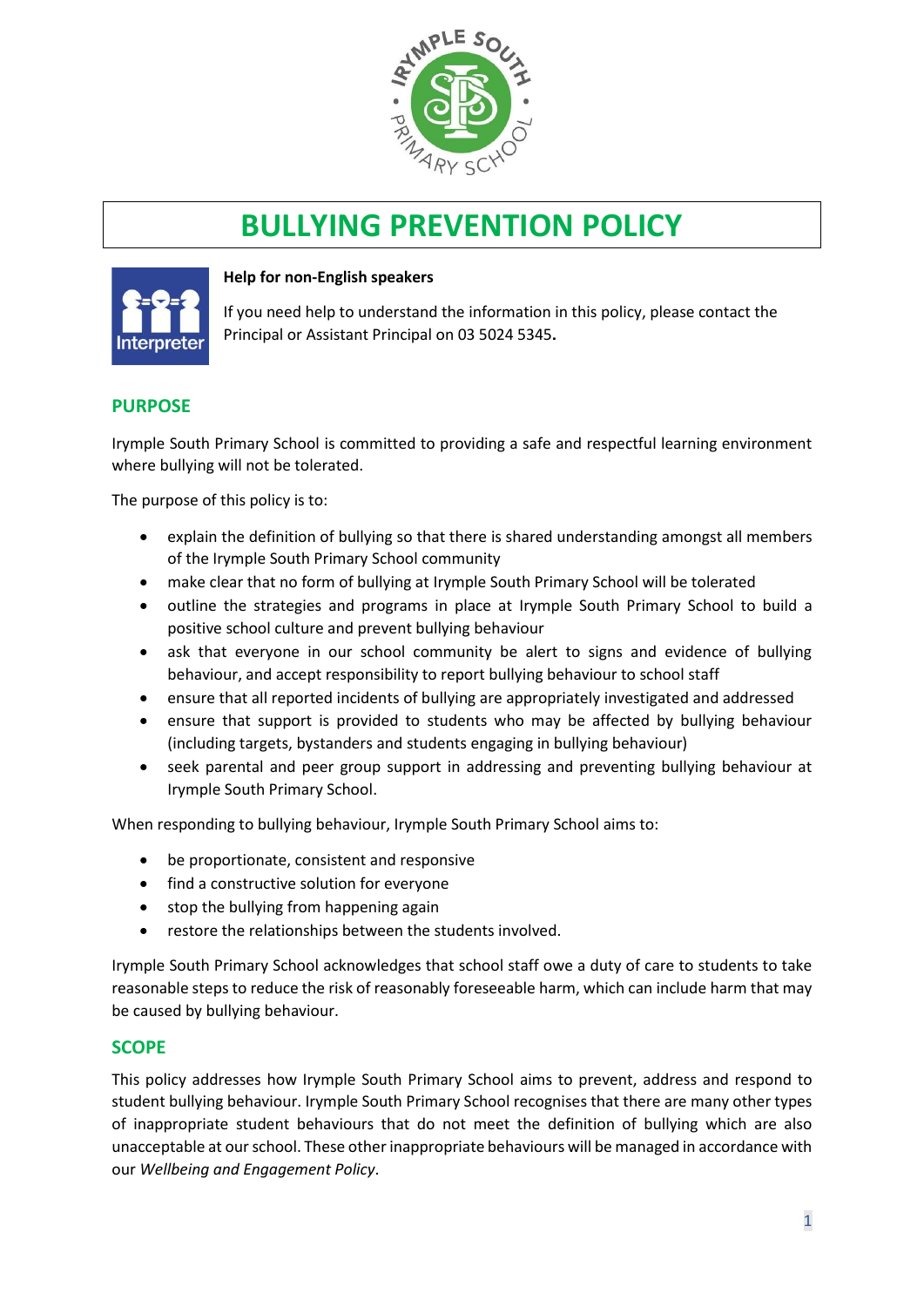

# **BULLYING PREVENTION POLICY**



#### **Help for non-English speakers**

If you need help to understand the information in this policy, please contact the Principal or Assistant Principal on 03 5024 5345.

#### **PURPOSE**

Irymple South Primary School is committed to providing a safe and respectful learning environment where bullying will not be tolerated.

The purpose of this policy is to:

- explain the definition of bullying so that there is shared understanding amongst all members of the Irymple South Primary School community
- make clear that no form of bullying at Irymple South Primary School will be tolerated
- outline the strategies and programs in place at Irymple South Primary School to build a positive school culture and prevent bullying behaviour
- ask that everyone in our school community be alert to signs and evidence of bullying behaviour, and accept responsibility to report bullying behaviour to school staff
- ensure that all reported incidents of bullying are appropriately investigated and addressed
- ensure that support is provided to students who may be affected by bullying behaviour (including targets, bystanders and students engaging in bullying behaviour)
- seek parental and peer group support in addressing and preventing bullying behaviour at Irymple South Primary School.

When responding to bullying behaviour, Irymple South Primary School aims to:

- be proportionate, consistent and responsive
- find a constructive solution for everyone
- stop the bullying from happening again
- restore the relationships between the students involved.

Irymple South Primary School acknowledges that school staff owe a duty of care to students to take reasonable steps to reduce the risk of reasonably foreseeable harm, which can include harm that may be caused by bullying behaviour.

#### **SCOPE**

This policy addresses how Irymple South Primary School aims to prevent, address and respond to student bullying behaviour. Irymple South Primary School recognises that there are many other types of inappropriate student behaviours that do not meet the definition of bullying which are also unacceptable at our school. These other inappropriate behaviours will be managed in accordance with our *Wellbeing and Engagement Policy*.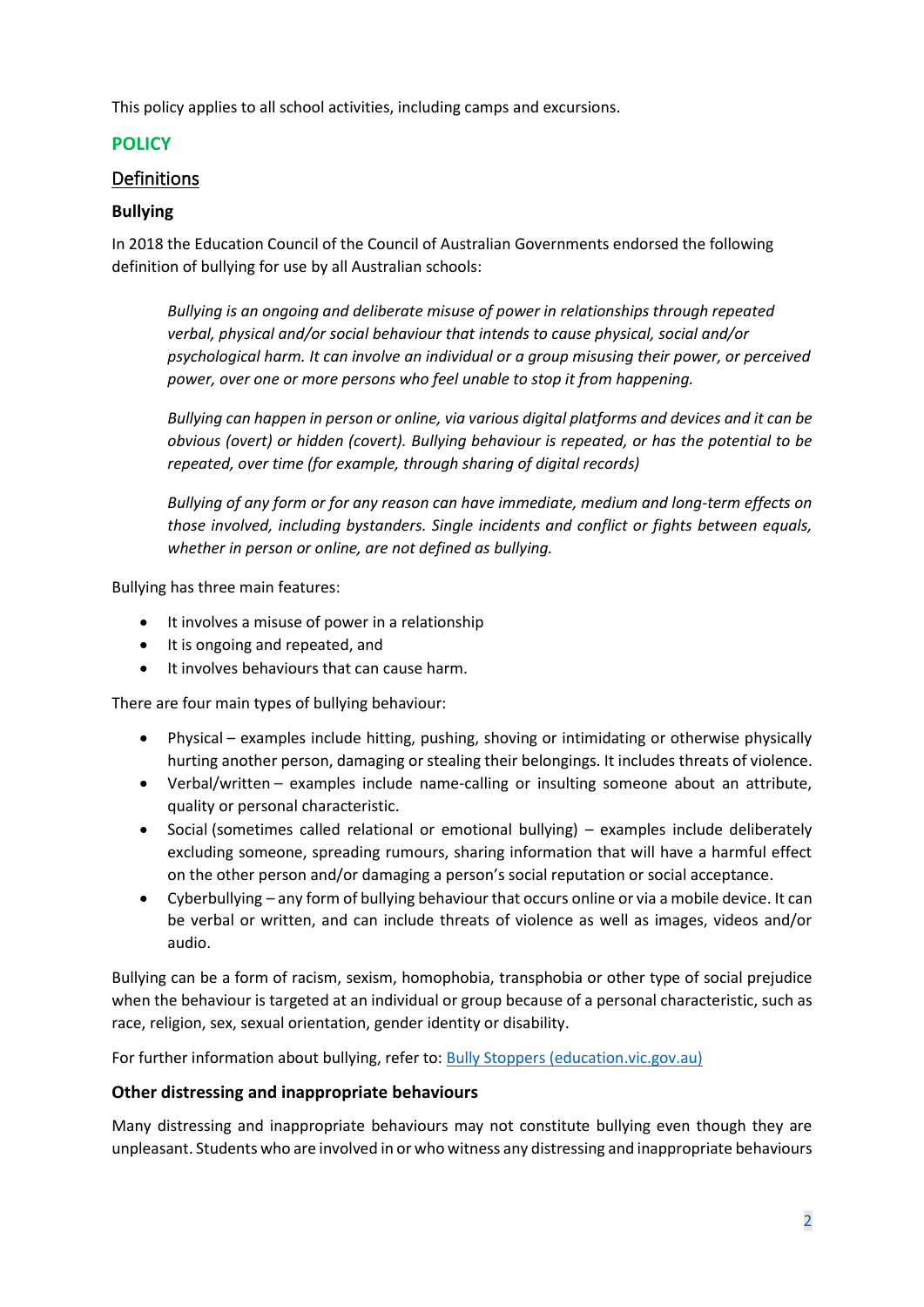This policy applies to all school activities, including camps and excursions.

# **POLICY**

# Definitions

## **Bullying**

In 2018 the Education Council of the Council of Australian Governments endorsed the following definition of bullying for use by all Australian schools:

*Bullying is an ongoing and deliberate misuse of power in relationships through repeated verbal, physical and/or social behaviour that intends to cause physical, social and/or psychological harm. It can involve an individual or a group misusing their power, or perceived power, over one or more persons who feel unable to stop it from happening.*

*Bullying can happen in person or online, via various digital platforms and devices and it can be obvious (overt) or hidden (covert). Bullying behaviour is repeated, or has the potential to be repeated, over time (for example, through sharing of digital records)*

*Bullying of any form or for any reason can have immediate, medium and long-term effects on those involved, including bystanders. Single incidents and conflict or fights between equals, whether in person or online, are not defined as bullying.*

Bullying has three main features:

- It involves a misuse of power in a relationship
- It is ongoing and repeated, and
- It involves behaviours that can cause harm.

There are four main types of bullying behaviour:

- Physical examples include hitting, pushing, shoving or intimidating or otherwise physically hurting another person, damaging or stealing their belongings. It includes threats of violence.
- Verbal/written examples include name-calling or insulting someone about an attribute, quality or personal characteristic.
- Social (sometimes called relational or emotional bullying) examples include deliberately excluding someone, spreading rumours, sharing information that will have a harmful effect on the other person and/or damaging a person's social reputation or social acceptance.
- Cyberbullying any form of bullying behaviour that occurs online or via a mobile device. It can be verbal or written, and can include threats of violence as well as images, videos and/or audio.

Bullying can be a form of racism, sexism, homophobia, transphobia or other type of social prejudice when the behaviour is targeted at an individual or group because of a personal characteristic, such as race, religion, sex, sexual orientation, gender identity or disability.

For further information about bullying, refer to: [Bully Stoppers \(education.vic.gov.au\)](https://www.education.vic.gov.au/about/programs/bullystoppers/Pages/default.aspx)

## **Other distressing and inappropriate behaviours**

Many distressing and inappropriate behaviours may not constitute bullying even though they are unpleasant. Students who are involved in or who witness any distressing and inappropriate behaviours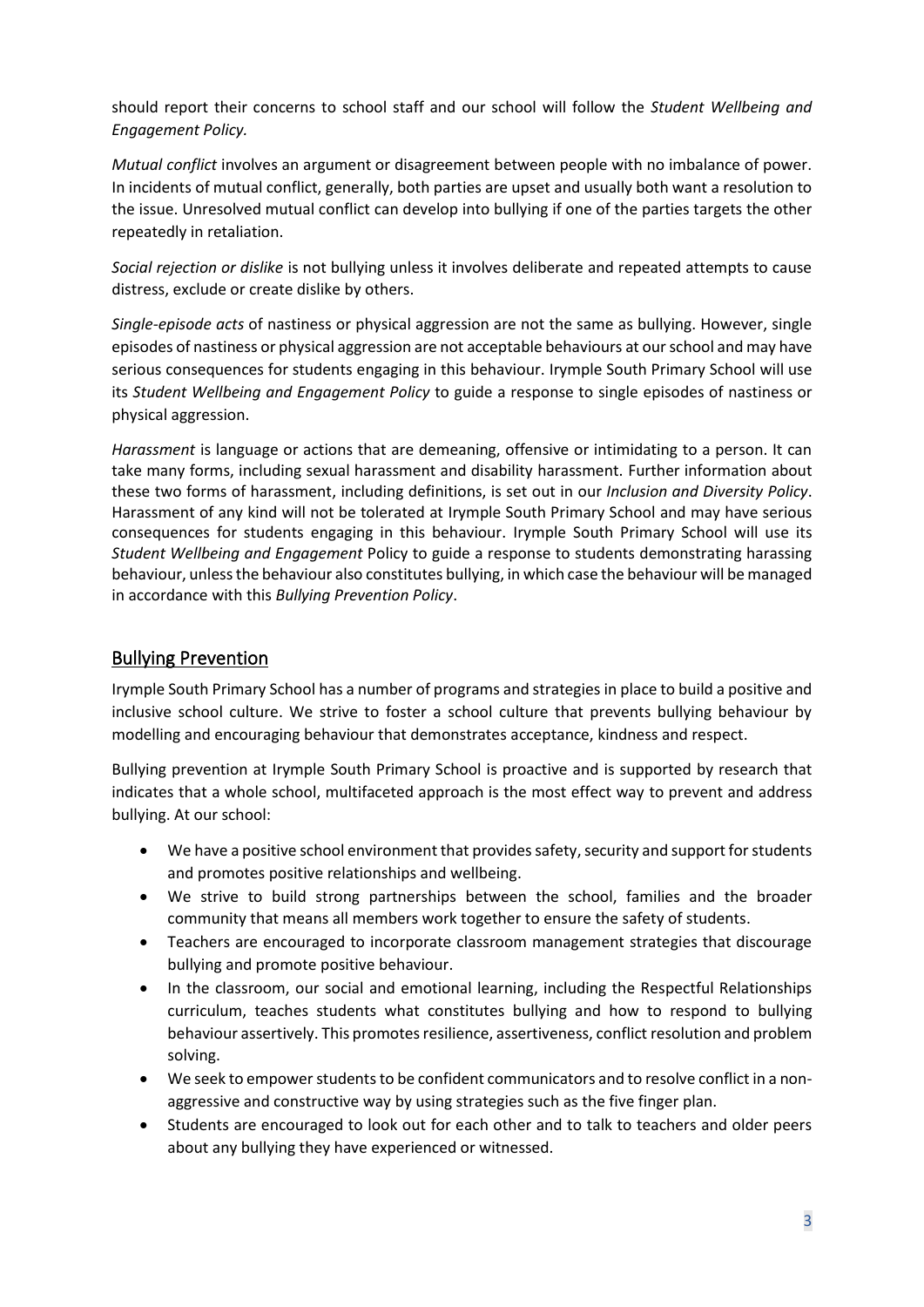should report their concerns to school staff and our school will follow the *Student Wellbeing and Engagement Policy.*

*Mutual conflict* involves an argument or disagreement between people with no imbalance of power. In incidents of mutual conflict, generally, both parties are upset and usually both want a resolution to the issue. Unresolved mutual conflict can develop into bullying if one of the parties targets the other repeatedly in retaliation.

*Social rejection or dislike* is not bullying unless it involves deliberate and repeated attempts to cause distress, exclude or create dislike by others.

*Single-episode acts* of nastiness or physical aggression are not the same as bullying. However, single episodes of nastiness or physical aggression are not acceptable behaviours at our school and may have serious consequences for students engaging in this behaviour. Irymple South Primary School will use its *Student Wellbeing and Engagement Policy* to guide a response to single episodes of nastiness or physical aggression.

*Harassment* is language or actions that are demeaning, offensive or intimidating to a person. It can take many forms, including sexual harassment and disability harassment. Further information about these two forms of harassment, including definitions, is set out in our *Inclusion and Diversity Policy*. Harassment of any kind will not be tolerated at Irymple South Primary School and may have serious consequences for students engaging in this behaviour. Irymple South Primary School will use its *Student Wellbeing and Engagement* Policy to guide a response to students demonstrating harassing behaviour, unless the behaviour also constitutes bullying, in which case the behaviour will be managed in accordance with this *Bullying Prevention Policy*.

# Bullying Prevention

Irymple South Primary School has a number of programs and strategies in place to build a positive and inclusive school culture. We strive to foster a school culture that prevents bullying behaviour by modelling and encouraging behaviour that demonstrates acceptance, kindness and respect.

Bullying prevention at Irymple South Primary School is proactive and is supported by research that indicates that a whole school, multifaceted approach is the most effect way to prevent and address bullying. At our school:

- We have a positive school environment that provides safety, security and support for students and promotes positive relationships and wellbeing.
- We strive to build strong partnerships between the school, families and the broader community that means all members work together to ensure the safety of students.
- Teachers are encouraged to incorporate classroom management strategies that discourage bullying and promote positive behaviour.
- In the classroom, our social and emotional learning, including the Respectful Relationships curriculum, teaches students what constitutes bullying and how to respond to bullying behaviour assertively. This promotes resilience, assertiveness, conflict resolution and problem solving.
- We seek to empower students to be confident communicators and to resolve conflict in a nonaggressive and constructive way by using strategies such as the five finger plan.
- Students are encouraged to look out for each other and to talk to teachers and older peers about any bullying they have experienced or witnessed.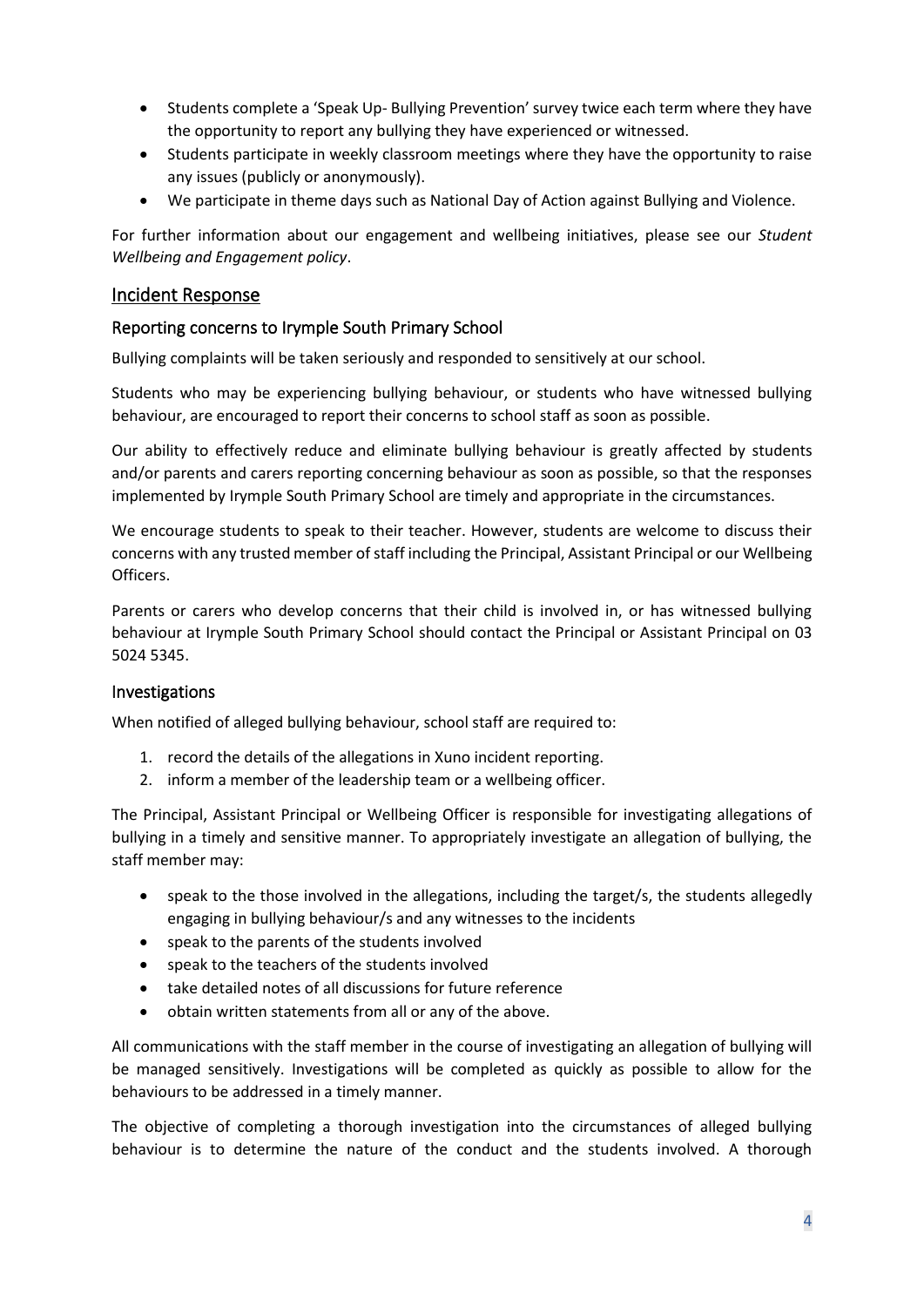- Students complete a 'Speak Up- Bullying Prevention' survey twice each term where they have the opportunity to report any bullying they have experienced or witnessed.
- Students participate in weekly classroom meetings where they have the opportunity to raise any issues (publicly or anonymously).
- We participate in theme days such as National Day of Action against Bullying and Violence.

For further information about our engagement and wellbeing initiatives, please see our *Student Wellbeing and Engagement policy*.

#### Incident Response

#### Reporting concerns to Irymple South Primary School

Bullying complaints will be taken seriously and responded to sensitively at our school.

Students who may be experiencing bullying behaviour, or students who have witnessed bullying behaviour, are encouraged to report their concerns to school staff as soon as possible.

Our ability to effectively reduce and eliminate bullying behaviour is greatly affected by students and/or parents and carers reporting concerning behaviour as soon as possible, so that the responses implemented by Irymple South Primary School are timely and appropriate in the circumstances.

We encourage students to speak to their teacher. However, students are welcome to discuss their concerns with any trusted member of staff including the Principal, Assistant Principal or our Wellbeing Officers.

Parents or carers who develop concerns that their child is involved in, or has witnessed bullying behaviour at Irymple South Primary School should contact the Principal or Assistant Principal on 03 5024 5345.

#### Investigations

When notified of alleged bullying behaviour, school staff are required to:

- 1. record the details of the allegations in Xuno incident reporting.
- 2. inform a member of the leadership team or a wellbeing officer.

The Principal, Assistant Principal or Wellbeing Officer is responsible for investigating allegations of bullying in a timely and sensitive manner. To appropriately investigate an allegation of bullying, the staff member may:

- speak to the those involved in the allegations, including the target/s, the students allegedly engaging in bullying behaviour/s and any witnesses to the incidents
- speak to the parents of the students involved
- speak to the teachers of the students involved
- take detailed notes of all discussions for future reference
- obtain written statements from all or any of the above.

All communications with the staff member in the course of investigating an allegation of bullying will be managed sensitively. Investigations will be completed as quickly as possible to allow for the behaviours to be addressed in a timely manner.

The objective of completing a thorough investigation into the circumstances of alleged bullying behaviour is to determine the nature of the conduct and the students involved. A thorough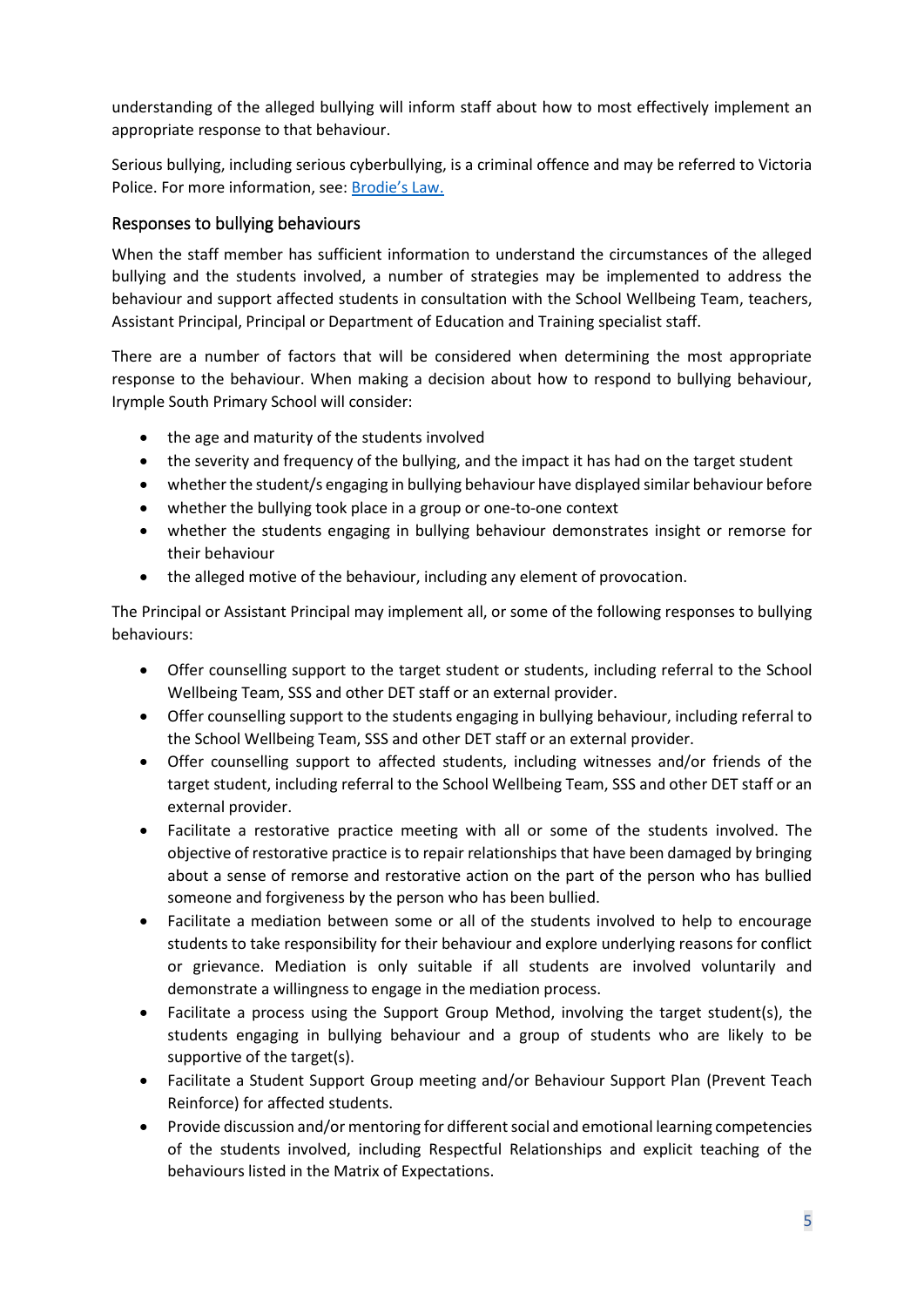understanding of the alleged bullying will inform staff about how to most effectively implement an appropriate response to that behaviour.

Serious bullying, including serious cyberbullying, is a criminal offence and may be referred to Victoria Police. For more information, see: [Brodie's Law.](http://www.education.vic.gov.au/about/programs/bullystoppers/Pages/advicesheetbrodieslaw.aspx)

## Responses to bullying behaviours

When the staff member has sufficient information to understand the circumstances of the alleged bullying and the students involved, a number of strategies may be implemented to address the behaviour and support affected students in consultation with the School Wellbeing Team, teachers, Assistant Principal, Principal or Department of Education and Training specialist staff.

There are a number of factors that will be considered when determining the most appropriate response to the behaviour. When making a decision about how to respond to bullying behaviour, Irymple South Primary School will consider:

- the age and maturity of the students involved
- the severity and frequency of the bullying, and the impact it has had on the target student
- whether the student/s engaging in bullying behaviour have displayed similar behaviour before
- whether the bullying took place in a group or one-to-one context
- whether the students engaging in bullying behaviour demonstrates insight or remorse for their behaviour
- the alleged motive of the behaviour, including any element of provocation.

The Principal or Assistant Principal may implement all, or some of the following responses to bullying behaviours:

- Offer counselling support to the target student or students, including referral to the School Wellbeing Team, SSS and other DET staff or an external provider.
- Offer counselling support to the students engaging in bullying behaviour, including referral to the School Wellbeing Team, SSS and other DET staff or an external provider.
- Offer counselling support to affected students, including witnesses and/or friends of the target student, including referral to the School Wellbeing Team, SSS and other DET staff or an external provider.
- Facilitate a restorative practice meeting with all or some of the students involved. The objective of restorative practice is to repair relationships that have been damaged by bringing about a sense of remorse and restorative action on the part of the person who has bullied someone and forgiveness by the person who has been bullied.
- Facilitate a mediation between some or all of the students involved to help to encourage students to take responsibility for their behaviour and explore underlying reasons for conflict or grievance. Mediation is only suitable if all students are involved voluntarily and demonstrate a willingness to engage in the mediation process.
- Facilitate a process using the Support Group Method, involving the target student(s), the students engaging in bullying behaviour and a group of students who are likely to be supportive of the target(s).
- Facilitate a Student Support Group meeting and/or Behaviour Support Plan (Prevent Teach Reinforce) for affected students.
- Provide discussion and/or mentoring for different social and emotional learning competencies of the students involved, including Respectful Relationships and explicit teaching of the behaviours listed in the Matrix of Expectations.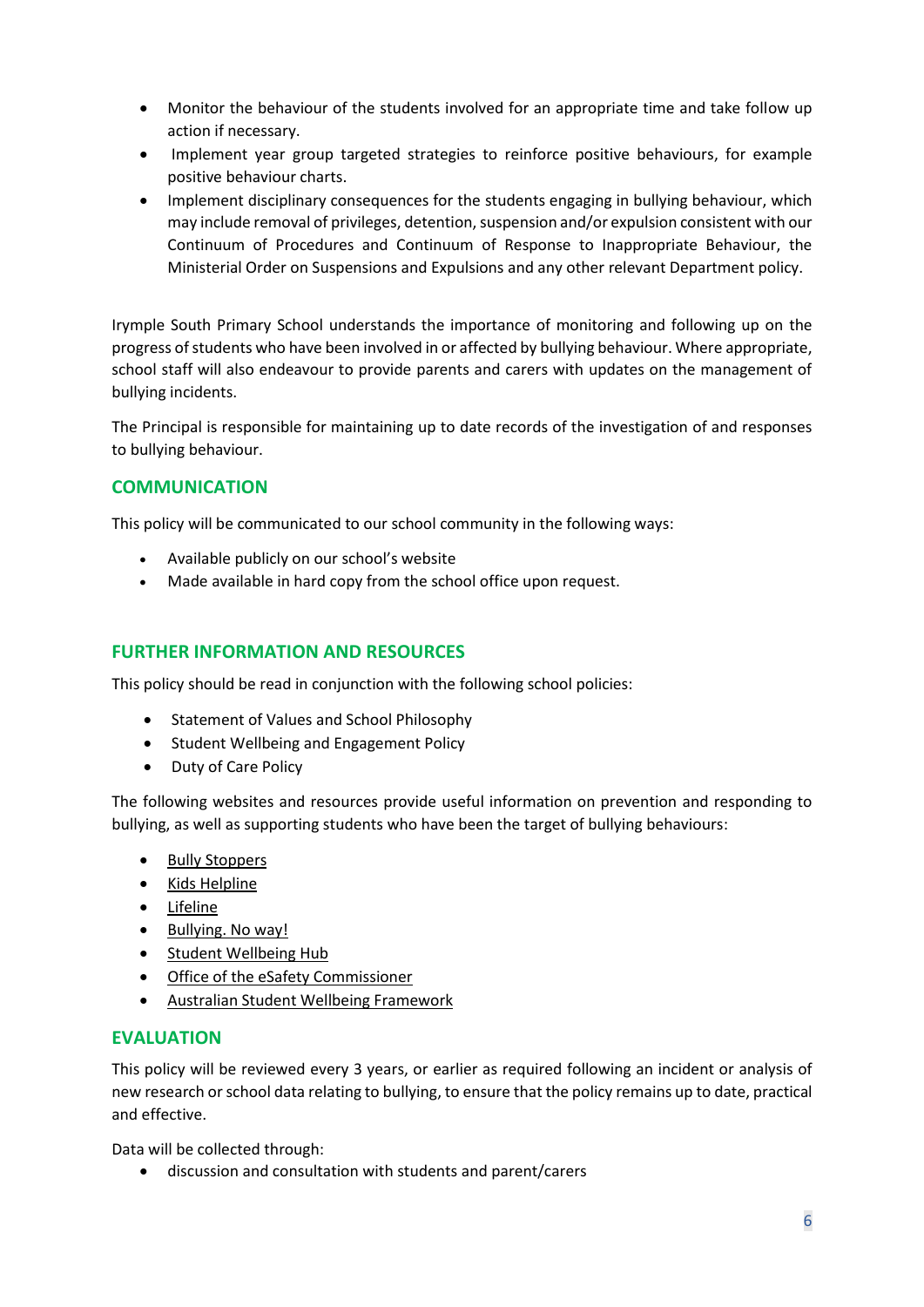- Monitor the behaviour of the students involved for an appropriate time and take follow up action if necessary.
- Implement year group targeted strategies to reinforce positive behaviours, for example positive behaviour charts.
- Implement disciplinary consequences for the students engaging in bullying behaviour, which may include removal of privileges, detention, suspension and/or expulsion consistent with our Continuum of Procedures and Continuum of Response to Inappropriate Behaviour, the Ministerial Order on Suspensions and Expulsions and any other relevant Department policy.

Irymple South Primary School understands the importance of monitoring and following up on the progress of students who have been involved in or affected by bullying behaviour. Where appropriate, school staff will also endeavour to provide parents and carers with updates on the management of bullying incidents.

The Principal is responsible for maintaining up to date records of the investigation of and responses to bullying behaviour.

## **COMMUNICATION**

This policy will be communicated to our school community in the following ways:

- Available publicly on our school's website
- Made available in hard copy from the school office upon request.

#### **FURTHER INFORMATION AND RESOURCES**

This policy should be read in conjunction with the following school policies:

- Statement of Values and School Philosophy
- Student Wellbeing and Engagement Policy
- Duty of Care Policy

The following websites and resources provide useful information on prevention and responding to bullying, as well as supporting students who have been the target of bullying behaviours:

- **[Bully Stoppers](https://www.education.vic.gov.au/about/programs/bullystoppers/Pages/default.aspx)**
- Kids [Helpline](https://kidshelpline.com.au/)
- [Lifeline](https://www.lifeline.org.au/)
- [Bullying. No way!](https://bullyingnoway.gov.au/)
- [Student Wellbeing Hub](https://www.studentwellbeinghub.edu.au/)
- [Office of the eSafety Commissioner](https://www.esafety.gov.au/)
- [Australian Student Wellbeing Framework](https://studentwellbeinghub.edu.au/educators/resources/australian-student-wellbeing-framework/)

#### **EVALUATION**

This policy will be reviewed every 3 years, or earlier as required following an incident or analysis of new research or school data relating to bullying, to ensure that the policy remains up to date, practical and effective.

Data will be collected through:

• discussion and consultation with students and parent/carers